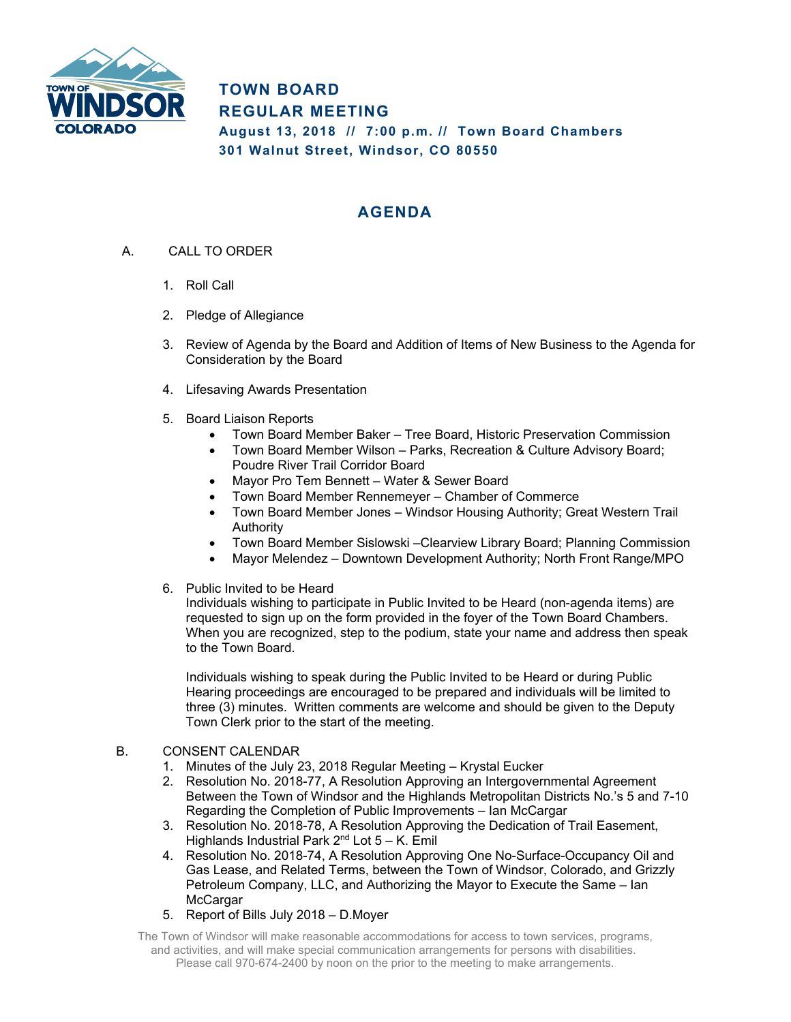

**TOWN BOARD REGULAR MEETING August 13, 2018 // 7:00 p.m. // Town Board Chambers 301 Walnut Street, Windsor, CO 80550** 

## **AGENDA**

- A. CALL TO ORDER
	- 1. Roll Call
	- 2. Pledge of Allegiance
	- 3. Review of Agenda by the Board and Addition of Items of New Business to the Agenda for Consideration by the Board
	- 4. Lifesaving Awards Presentation
	- 5. Board Liaison Reports
		- Town Board Member Baker Tree Board, Historic Preservation Commission
		- Town Board Member Wilson Parks, Recreation & Culture Advisory Board; Poudre River Trail Corridor Board
		- Mayor Pro Tem Bennett Water & Sewer Board
		- Town Board Member Rennemeyer Chamber of Commerce
		- Town Board Member Jones Windsor Housing Authority; Great Western Trail Authority
		- Town Board Member Sislowski –Clearview Library Board; Planning Commission
		- Mayor Melendez Downtown Development Authority; North Front Range/MPO
	- 6. Public Invited to be Heard

Individuals wishing to participate in Public Invited to be Heard (non-agenda items) are requested to sign up on the form provided in the foyer of the Town Board Chambers. When you are recognized, step to the podium, state your name and address then speak to the Town Board.

Individuals wishing to speak during the Public Invited to be Heard or during Public Hearing proceedings are encouraged to be prepared and individuals will be limited to three (3) minutes. Written comments are welcome and should be given to the Deputy Town Clerk prior to the start of the meeting.

- B. CONSENT CALENDAR
	- 1. Minutes of the July 23, 2018 Regular Meeting Krystal Eucker
	- 2. Resolution No. 2018-77, A Resolution Approving an Intergovernmental Agreement Between the Town of Windsor and the Highlands Metropolitan Districts No.'s 5 and 7-10 Regarding the Completion of Public Improvements – Ian McCargar
	- 3. Resolution No. 2018-78, A Resolution Approving the Dedication of Trail Easement, Highlands Industrial Park  $2^{nd}$  Lot  $5 - K$ . Emil
	- 4. Resolution No. 2018-74, A Resolution Approving One No-Surface-Occupancy Oil and Gas Lease, and Related Terms, between the Town of Windsor, Colorado, and Grizzly Petroleum Company, LLC, and Authorizing the Mayor to Execute the Same – Ian **McCargar**
	- 5. Report of Bills July 2018 D.Moyer
	- The Town of Windsor will make reasonable accommodations for access to town services, programs, and activities, and will make special communication arrangements for persons with disabilities. Please call 970-674-2400 by noon on the prior to the meeting to make arrangements.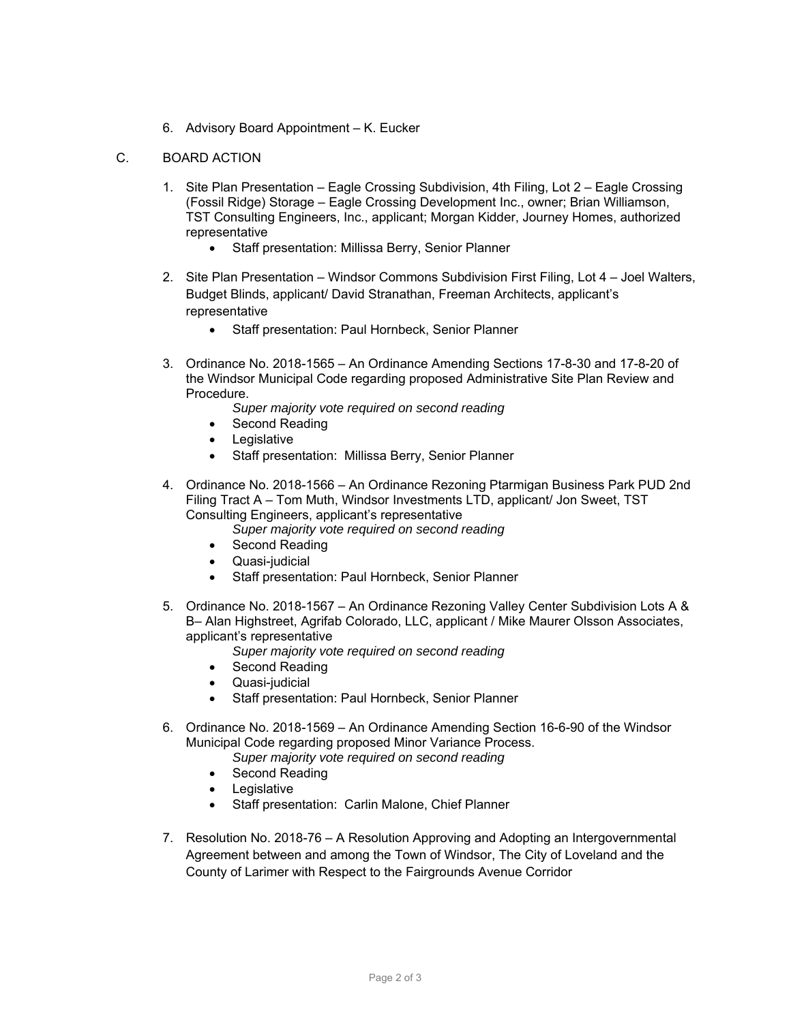6. Advisory Board Appointment – K. Eucker

## C. BOARD ACTION

- 1. Site Plan Presentation Eagle Crossing Subdivision, 4th Filing, Lot 2 Eagle Crossing (Fossil Ridge) Storage – Eagle Crossing Development Inc., owner; Brian Williamson, TST Consulting Engineers, Inc., applicant; Morgan Kidder, Journey Homes, authorized representative
	- Staff presentation: Millissa Berry, Senior Planner
- 2. Site Plan Presentation Windsor Commons Subdivision First Filing, Lot 4 Joel Walters, Budget Blinds, applicant/ David Stranathan, Freeman Architects, applicant's representative
	- Staff presentation: Paul Hornbeck, Senior Planner
- 3. Ordinance No. 2018-1565 An Ordinance Amending Sections 17-8-30 and 17-8-20 of the Windsor Municipal Code regarding proposed Administrative Site Plan Review and Procedure.
	- *Super majority vote required on second reading*
	- Second Reading
	- Legislative
	- Staff presentation: Millissa Berry, Senior Planner
- 4. Ordinance No. 2018-1566 An Ordinance Rezoning Ptarmigan Business Park PUD 2nd Filing Tract A – Tom Muth, Windsor Investments LTD, applicant/ Jon Sweet, TST Consulting Engineers, applicant's representative
	- *Super majority vote required on second reading*
	- Second Reading
	- Quasi-judicial
	- Staff presentation: Paul Hornbeck, Senior Planner
- 5. Ordinance No. 2018-1567 An Ordinance Rezoning Valley Center Subdivision Lots A & B– Alan Highstreet, Agrifab Colorado, LLC, applicant / Mike Maurer Olsson Associates, applicant's representative
	- *Super majority vote required on second reading*
	- Second Reading
	- Quasi-judicial
	- Staff presentation: Paul Hornbeck, Senior Planner
- 6. Ordinance No. 2018-1569 An Ordinance Amending Section 16-6-90 of the Windsor Municipal Code regarding proposed Minor Variance Process. *Super majority vote required on second reading* 
	- Second Reading
	- Legislative
	- Staff presentation: Carlin Malone, Chief Planner
- 7. Resolution No. 2018-76 A Resolution Approving and Adopting an Intergovernmental Agreement between and among the Town of Windsor, The City of Loveland and the County of Larimer with Respect to the Fairgrounds Avenue Corridor